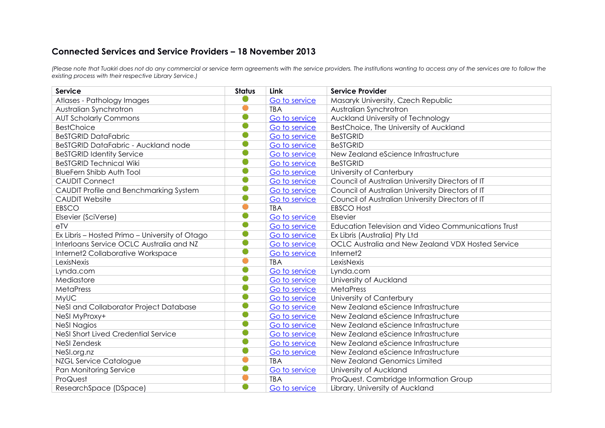## **Connected Services and Service Providers – 18 November 2013**

*(Please note that Tuakiri does not do any commercial or service term agreements with the service providers. The institutions wanting to access any of the services are to follow the existing process with their respective Library Service.)*

| <b>Service</b>                                 | <b>Status</b> | <b>Link</b>   | <b>Service Provider</b>                             |
|------------------------------------------------|---------------|---------------|-----------------------------------------------------|
| Atlases - Pathology Images                     |               | Go to service | Masaryk University, Czech Republic                  |
| Australian Synchrotron                         |               | <b>TBA</b>    | Australian Synchrotron                              |
| <b>AUT Scholarly Commons</b>                   | O             | Go to service | Auckland University of Technology                   |
| <b>BestChoice</b>                              |               | Go to service | BestChoice, The University of Auckland              |
| <b>BeSTGRID DataFabric</b>                     |               | Go to service | <b>BeSTGRID</b>                                     |
| BeSTGRID DataFabric - Auckland node            |               | Go to service | <b>BeSTGRID</b>                                     |
| <b>BeSTGRID Identity Service</b>               | O             | Go to service | New Zealand eScience Infrastructure                 |
| <b>BeSTGRID Technical Wiki</b>                 |               | Go to service | <b>BeSTGRID</b>                                     |
| <b>BlueFern Shibb Auth Tool</b>                | 0             | Go to service | University of Canterbury                            |
| <b>CAUDIT Connect</b>                          | O             | Go to service | Council of Australian University Directors of IT    |
| CAUDIT Profile and Benchmarking System         |               | Go to service | Council of Australian University Directors of IT    |
| <b>CAUDIT Website</b>                          |               | Go to service | Council of Australian University Directors of IT    |
| <b>EBSCO</b>                                   |               | <b>TBA</b>    | <b>EBSCO Host</b>                                   |
| Elsevier (SciVerse)                            |               | Go to service | Elsevier                                            |
| e <sub>TV</sub>                                | O             | Go to service | Education Television and Video Communications Trust |
| Ex Libris - Hosted Primo - University of Otago |               | Go to service | Ex Libris (Australia) Pty Ltd                       |
| Interloans Service OCLC Australia and NZ       |               | Go to service | OCLC Australia and New Zealand VDX Hosted Service   |
| Internet2 Collaborative Workspace              | O             | Go to service | Internet2                                           |
| LexisNexis                                     |               | <b>TBA</b>    | LexisNexis                                          |
| Lynda.com                                      | O             | Go to service | Lynda.com                                           |
| Mediastore                                     |               | Go to service | University of Auckland                              |
| MetaPress                                      |               | Go to service | MetaPress                                           |
| <b>MyUC</b>                                    |               | Go to service | University of Canterbury                            |
| NeSI and Collaborator Project Database         |               | Go to service | New Zealand eScience Infrastructure                 |
| NeSI MyProxy+                                  |               | Go to service | New Zealand eScience Infrastructure                 |
| <b>NeSI Nagios</b>                             |               | Go to service | New Zealand eScience Infrastructure                 |
| NeSI Short Lived Credential Service            | O             | Go to service | New Zealand eScience Infrastructure                 |
| <b>NeSI Zendesk</b>                            | O             | Go to service | New Zealand eScience Infrastructure                 |
| NeSI.org.nz                                    | O             | Go to service | New Zealand eScience Infrastructure                 |
| <b>NZGL Service Catalogue</b>                  |               | <b>TBA</b>    | New Zealand Genomics Limited                        |
| Pan Monitoring Service                         |               | Go to service | University of Auckland                              |
| ProQuest                                       |               | <b>TBA</b>    | ProQuest. Cambridge Information Group               |
| ResearchSpace (DSpace)                         |               | Go to service | Library, University of Auckland                     |